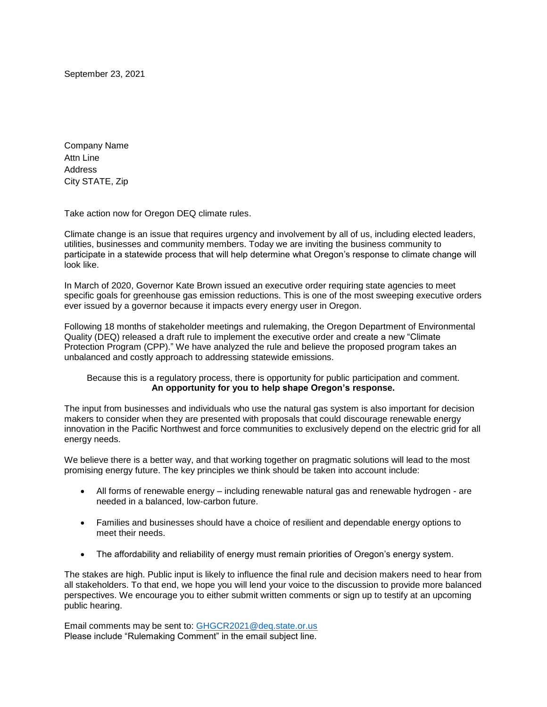September 23, 2021

Company Name Attn Line Address City STATE, Zip

Take action now for Oregon DEQ climate rules.

Climate change is an issue that requires urgency and involvement by all of us, including elected leaders, utilities, businesses and community members. Today we are inviting the business community to participate in a statewide process that will help determine what Oregon's response to climate change will look like.

In March of 2020, Governor Kate Brown issued an executive order requiring state agencies to meet specific goals for greenhouse gas emission reductions. This is one of the most sweeping executive orders ever issued by a governor because it impacts every energy user in Oregon.

Following 18 months of stakeholder meetings and rulemaking, the Oregon Department of Environmental Quality (DEQ) released a draft rule to implement the executive order and create a new "Climate Protection Program (CPP)." We have analyzed the rule and believe the proposed program takes an unbalanced and costly approach to addressing statewide emissions.

## Because this is a regulatory process, there is opportunity for public participation and comment. **An opportunity for you to help shape Oregon's response.**

The input from businesses and individuals who use the natural gas system is also important for decision makers to consider when they are presented with proposals that could discourage renewable energy innovation in the Pacific Northwest and force communities to exclusively depend on the electric grid for all energy needs.

We believe there is a better way, and that working together on pragmatic solutions will lead to the most promising energy future. The key principles we think should be taken into account include:

- All forms of renewable energy including renewable natural gas and renewable hydrogen are needed in a balanced, low-carbon future.
- Families and businesses should have a choice of resilient and dependable energy options to meet their needs.
- The affordability and reliability of energy must remain priorities of Oregon's energy system.

The stakes are high. Public input is likely to influence the final rule and decision makers need to hear from all stakeholders. To that end, we hope you will lend your voice to the discussion to provide more balanced perspectives. We encourage you to either submit written comments or sign up to testify at an upcoming public hearing.

Email comments may be sent to: [GHGCR2021@deq.state.or.us](mailto:GHGCR2021@deq.state.or.us) Please include "Rulemaking Comment" in the email subject line.